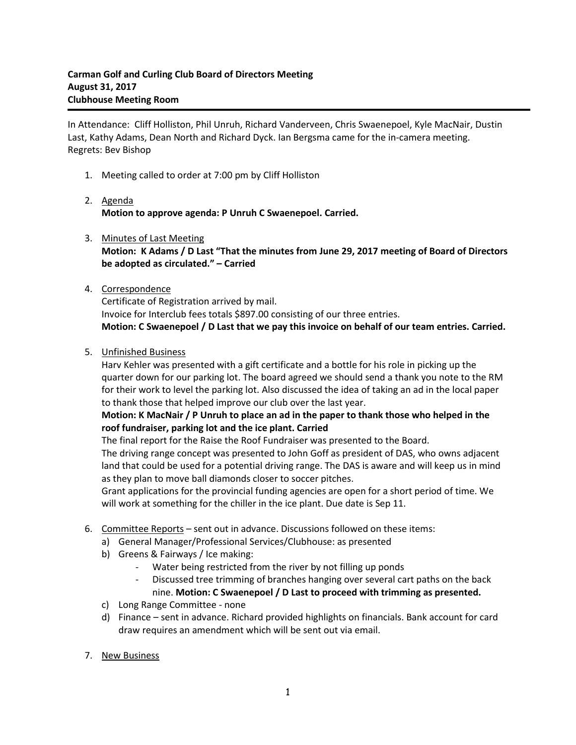In Attendance: Cliff Holliston, Phil Unruh, Richard Vanderveen, Chris Swaenepoel, Kyle MacNair, Dustin Last, Kathy Adams, Dean North and Richard Dyck. Ian Bergsma came for the in-camera meeting. Regrets: Bev Bishop

- 1. Meeting called to order at 7:00 pm by Cliff Holliston
- 2. Agenda **Motion to approve agenda: P Unruh C Swaenepoel. Carried.**
- 3. Minutes of Last Meeting **Motion: K Adams / D Last "That the minutes from June 29, 2017 meeting of Board of Directors be adopted as circulated." – Carried**

## 4. Correspondence

Certificate of Registration arrived by mail. Invoice for Interclub fees totals \$897.00 consisting of our three entries. **Motion: C Swaenepoel / D Last that we pay this invoice on behalf of our team entries. Carried.**

5. Unfinished Business

Harv Kehler was presented with a gift certificate and a bottle for his role in picking up the quarter down for our parking lot. The board agreed we should send a thank you note to the RM for their work to level the parking lot. Also discussed the idea of taking an ad in the local paper to thank those that helped improve our club over the last year.

## **Motion: K MacNair / P Unruh to place an ad in the paper to thank those who helped in the roof fundraiser, parking lot and the ice plant. Carried**

The final report for the Raise the Roof Fundraiser was presented to the Board.

The driving range concept was presented to John Goff as president of DAS, who owns adjacent land that could be used for a potential driving range. The DAS is aware and will keep us in mind as they plan to move ball diamonds closer to soccer pitches.

Grant applications for the provincial funding agencies are open for a short period of time. We will work at something for the chiller in the ice plant. Due date is Sep 11.

- 6. Committee Reports sent out in advance. Discussions followed on these items:
	- a) General Manager/Professional Services/Clubhouse: as presented
	- b) Greens & Fairways / Ice making:
		- Water being restricted from the river by not filling up ponds
		- Discussed tree trimming of branches hanging over several cart paths on the back nine. **Motion: C Swaenepoel / D Last to proceed with trimming as presented.**
	- c) Long Range Committee none
	- d) Finance sent in advance. Richard provided highlights on financials. Bank account for card draw requires an amendment which will be sent out via email.
- 7. New Business